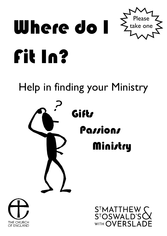

Help in finding your Ministry





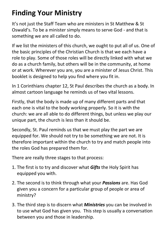# **Finding Your Ministry**

It's not just the Staff Team who are ministers in St Matthew & St Oswald's. To be a minister simply means to serve God - and that is something we are all called to do.

If we list the ministers of this church, we ought to put all of us. One of the basic principles of the Christian Church is that we each have a role to play. Some of those roles will be directly linked with what we do as a church family, but others will be in the community, at home or at work. Wherever you are, you are a minister of Jesus Christ. This booklet is designed to help you find where you fit in.

In 1 Corinthians chapter 12, St Paul describes the church as a body. In almost cartoon language he reminds us of two vital lessons.

Firstly, that the body is made up of many different parts and that each one is vital to the body working properly. So it is with the church: we are all able to do different things, but unless we play our unique part, the church is less than it should be.

Secondly, St. Paul reminds us that we must play the part we are equipped for. We should not try to be something we are not. It is therefore important within the church to try and match people into the roles God has prepared them for.

There are really three stages to that process:

- 1. The first is to try and discover what *Gifts* the Holy Spirit has equipped you with.
- 2. The second is to think through what your *Passions* are. Has God given you a concern for a particular group of people or area of ministry?
- 3. The third step is to discern what *Ministries* you can be involved in to use what God has given you. This step is usually a conversation between you and those in leadership.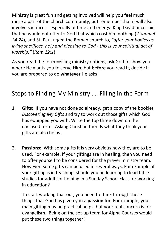Ministry is great fun and getting involved will help you feel much more a part of the church community, but remember that it will also involve sacrifices - especially of time and energy. King David once said that he would not offer to God that which cost him nothing (*2 Samuel 24:24*), and St. Paul urged the Roman church to, *"offer your bodies as living sacrifices, holy and pleasing to God - this is your spiritual act of worship."* (*Rom 12:1*)

As you read the form =giving ministry options, ask God to show you where He wants you to serve Him; but **before** you read it, decide if you are prepared to do **whatever** He asks!

### Steps to Finding My Ministry …. Filling in the Form

- 1. **Gifts:** If you have not done so already, get a copy of the booklet *Discovering My Gifts* and try to work out those gifts which God has equipped you with. Write the top three down on the enclosed form. Asking Christian friends what they think your gifts are also helps.
- 2. **Passions:** With some gifts it is very obvious how they are to be used. For example, if your giftings are in healing, then you need to offer yourself to be considered for the prayer ministry team. However, some gifts can be used in several ways. For example, if your gifting is in teaching, should you be learning to lead bible studies for adults or helping in a Sunday School class, or working in education?

To start working that out, you need to think through those things that God has given you a **passion** for. For example, your main gifting may be practical helps, but your real concern is for evangelism. Being on the set-up team for Alpha Courses would put these two things together!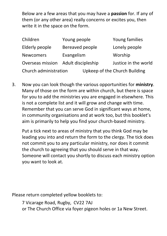Below are a few areas that you may have a **passion** for. If any of them (or any other area) really concerns or excites you, then write it in the space on the form.

| Children                            | Young people    | Young families                |
|-------------------------------------|-----------------|-------------------------------|
| Elderly people                      | Bereaved people | Lonely people                 |
| <b>Newcomers</b>                    | Evangelism      | Worship                       |
| Overseas mission Adult discipleship |                 | Justice in the world          |
| Church administration               |                 | Upkeep of the Church Building |

3. Now you can look though the various opportunities for **ministry**. Many of those on the form are within church, but there is space for you to add the ministries you are engaged in elsewhere. This is not a complete list and it will grow and change with time. Remember that you can serve God in significant ways at home, in community organisations and at work too, but this booklet's aim is primarily to help you find your church-based ministry.

Put a tick next to areas of ministry that you think God may be leading you into and return the form to the clergy. The tick does not commit you to any particular ministry, nor does it commit the church to agreeing that you should serve in that way. Someone will contact you shortly to discuss each ministry option you want to look at.

Please return completed yellow booklets to:

7 Vicarage Road, Rugby, CV22 7AJ or The Church Office via foyer pigeon holes or 1a New Street.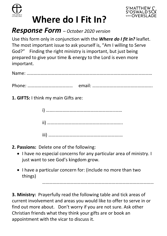



# **Where do I Fit In?**

## *Response Form – October 2020 version*

Use this form only in conjunction with the *Where do I fit in?* leaflet. The most important issue to ask yourself is, "Am I willing to Serve God?" Finding the right ministry is important, but just being prepared to give your time & energy to the Lord is even more important.

**1. GIFTS:** I think my main Gifts are:

i) ……..…………………………….……………..…… ii) ………………………………………………………..

iii) …………………………………………………….…

- **2. Passions:** Delete one of the following:
	- I have no especial concerns for any particular area of ministry. I just want to see God's kingdom grow.

……………………………………………………………………………………

• I have a particular concern for: (include no more than two things)

**3. Ministry:** Prayerfully read the following table and tick areas of current involvement and areas you would like to offer to serve in or find out more about. Don't worry if you are not sure. Ask other Christian friends what they think your gifts are or book an appointment with the vicar to discuss it.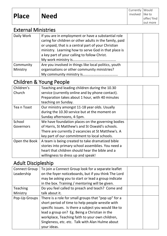#### External Ministries

| Daily Work | If you are in employment or have a substantial role<br>caring for children or other adults in the family, paid<br>or unpaid, that is a central part of your Christian<br>ministry. Learning how to serve God in that place is<br>a key part of your calling to follow Christ. |  |
|------------|-------------------------------------------------------------------------------------------------------------------------------------------------------------------------------------------------------------------------------------------------------------------------------|--|
| Community  | Are you involved in things like local politics, youth                                                                                                                                                                                                                         |  |
| Ministry   | organisations or other community ministries?                                                                                                                                                                                                                                  |  |
|            |                                                                                                                                                                                                                                                                               |  |

#### Children & Young People

| Children's    | Teaching and leading children during the 10.30     |  |
|---------------|----------------------------------------------------|--|
| Church        | service (currently online and by phone contact).   |  |
|               | Preparation takes about 1 hour, with 40 minutes    |  |
|               | teaching on Sunday.                                |  |
| Tea n Toast   | Our ministry amongst 11-18 year olds. Usually      |  |
|               | during the 10.30 service but at the moment on      |  |
|               | Sunday afternoons, 4-5pm.                          |  |
| School        | We have foundation places on the governing bodies  |  |
| Governors     | of Harris, St Matthew's and St Oswald's schools.   |  |
|               | There are currently 2 vacancies at St Matthew's. A |  |
|               | key part of our commitment to local schools.       |  |
| Open the Book | A team is being created to take dramatized bible   |  |
|               | stories into primary school assemblies. You need a |  |
|               | heart that children should hear the bible and a    |  |
|               | willingness to dress up and speak!                 |  |

#### Adult Discipleship

| <b>Connect Group</b> | To join a Connect Group look for a separate leaflet   |  |
|----------------------|-------------------------------------------------------|--|
| Leadership           | on the foyer noticeboards, but if you think The Lord  |  |
|                      | may be asking you to start or lead a group indicate   |  |
|                      | in the box. Training / mentoring will be given.       |  |
| <b>Teaching</b>      | Do you feel called to preach and teach? Come and      |  |
| Ministry             | talk about it.                                        |  |
| Pop-Up Groups        | There is a role for small groups that "pop up" for a  |  |
|                      | short period of time to help people wrestle with      |  |
|                      | specific issues. Is there a subject you would like to |  |
|                      | lead a group on? Eg. Being a Christian in the         |  |
|                      | workplace, Teaching faith to your own children,       |  |
|                      | Singleness, etc. etc. Talk with Alan Hulme about      |  |
|                      | your ideas.                                           |  |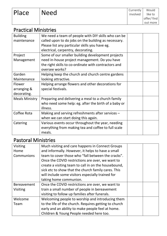#### Practical Ministries

| We need a team of people with DIY skills who can be  |  |
|------------------------------------------------------|--|
| called upon to do jobs on the building as necessary. |  |
| Please list any particular skills you have eg.       |  |
| electrical, carpentry, decorating.                   |  |
| Some of our smaller building development projects    |  |
| need in-house project management. Do you have        |  |
| the right skills to co-ordinate with contractors and |  |
| oversee works?                                       |  |
| Helping keep the church and church centre gardens    |  |
| looking attractive.                                  |  |
| Helping arrange flowers and other decorations for    |  |
| special festivals.                                   |  |
|                                                      |  |
| Preparing and delivering a meal to a church family   |  |
| who need some help: eg. after the birth of a baby or |  |
| illness.                                             |  |
| Making and serving refreshments after services -     |  |
| when we can start doing this again.                  |  |
| Various events occur throughout the year, needing    |  |
| everything from making tea and coffee to full scale  |  |
| meals.                                               |  |
|                                                      |  |

#### Pastoral Ministries

| Visiting           | Much visiting and care happens in Connect Groups      |  |
|--------------------|-------------------------------------------------------|--|
| Home               | and informally. However, it helps to have a small     |  |
| Communions         | team to cover those who "fall between the cracks".    |  |
|                    | Once the COVID restrictions are over, we want to      |  |
|                    | create a visiting team to call in on the housebound,  |  |
|                    | sick etc to show that the church family cares. This   |  |
|                    | will include some visitors especially trained for     |  |
|                    | taking home communion.                                |  |
| <b>Bereavement</b> | Once the COVID restrictions are over, we want to      |  |
| Visiting           | train a small number of people in bereavement         |  |
|                    | visiting to follow up families after funerals.        |  |
| Welcome            | Welcoming people to worship and introducing them      |  |
| Team               | to the life of the church. Requires getting to church |  |
|                    | early and an ability to make people feel at home.     |  |
|                    | Children & Young People needed here too.              |  |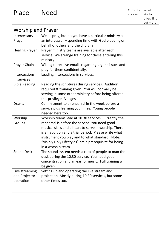#### Worship and Prayer

| Intercessory<br>Prayer                       | We all pray, but do you have a particular ministry as<br>an intercessor - spending time with God pleading on<br>behalf of others and the church?                                                                                                                                                                                                          |  |
|----------------------------------------------|-----------------------------------------------------------------------------------------------------------------------------------------------------------------------------------------------------------------------------------------------------------------------------------------------------------------------------------------------------------|--|
| <b>Healing Prayer</b>                        | Prayer ministry teams are available after each<br>service. We arrange training for those entering this<br>ministry.                                                                                                                                                                                                                                       |  |
| Prayer Chain                                 | Willing to receive emails regarding urgent issues and<br>pray for them confidentially.                                                                                                                                                                                                                                                                    |  |
| Intercessions<br>in services                 | Leading intercessions in services.                                                                                                                                                                                                                                                                                                                        |  |
| <b>Bible Reading</b>                         | Reading the scriptures during services. Audition<br>required & training given. You will normally be<br>serving in some other ministry before being offered<br>this privilege. All ages.                                                                                                                                                                   |  |
| Drama                                        | Commitment to a rehearsal in the week before a<br>service plus learning your lines. Young people<br>needed here too.                                                                                                                                                                                                                                      |  |
| Worship<br>Groups                            | Worship teams lead at 10.30 services. Currently the<br>rehearsal is before the service. You need good<br>musical skills and a heart to serve in worship. There<br>is an audition and a trial period. Please write what<br>instrument you play and to what standard. Note:<br>"Visibly Holy Lifestyles" are a prerequisite for being<br>in a worship team. |  |
| <b>Sound Desk</b>                            | The sound system needs a rota of people to man the<br>desk during the 10.30 service. You need good<br>concentration and an ear for music. Full training will<br>be given.                                                                                                                                                                                 |  |
| Live streaming<br>and Projector<br>operation | Setting up and operating the live stream and<br>projection. Mostly during 10.30 services, but some<br>other times too.                                                                                                                                                                                                                                    |  |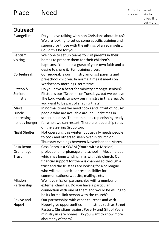| Place                | <b>Need</b>                                                                       | Currently<br>involved | Would<br>like to |
|----------------------|-----------------------------------------------------------------------------------|-----------------------|------------------|
|                      |                                                                                   |                       | offer/find       |
|                      |                                                                                   |                       | out more         |
| Outreach             |                                                                                   |                       |                  |
| Evangelism           | Do you love talking with non Christians about Jesus?                              |                       |                  |
|                      | We are looking to set up some specific training and                               |                       |                  |
|                      | support for those with the giftings of an evangelist.                             |                       |                  |
|                      | Could this be for you?                                                            |                       |                  |
| <b>Baptism</b>       | We hope to set up teams to visit parents in their                                 |                       |                  |
| visiting             | homes to prepare them for their children's                                        |                       |                  |
|                      | baptisms. You need a grasp of your own faith and a                                |                       |                  |
|                      | desire to share it. Full training given.                                          |                       |                  |
| Coffeebreak          | Coffeebreak is our ministry amongst parents and                                   |                       |                  |
|                      | pre-school children. In normal times it meets on                                  |                       |                  |
|                      | Wednesday mornings, term time.                                                    |                       |                  |
| Pitstop &            | Do you have a heart for ministry amongst seniors?                                 |                       |                  |
| <b>Seniors</b>       | Pitstop is our "Drop In" on Tuesdays, but we believe                              |                       |                  |
| ministry             | The Lord wants to grow our ministry in this area. Do                              |                       |                  |
|                      | you want to be part of shaping that?                                              |                       |                  |
| Make                 | In normal times we need cooks and "front of house"                                |                       |                  |
| Lunch:               | people who are available around lunchtimes in                                     |                       |                  |
| addressing           | school holidays. The team needs replenishing ready                                |                       |                  |
| holiday hunger       | for when we can restart. There are leadership roles<br>on the Steering Group too. |                       |                  |
| <b>Night Shelter</b> | Not operating this winter, but usually needs people                               |                       |                  |
|                      | to cook and others to sleep over in church on                                     |                       |                  |
|                      | Thursday evenings between November and March.                                     |                       |                  |
| Casa Reom            | Casa Reom is a YWAM (Youth with a Mission)                                        |                       |                  |
| Orphanage            | project of an orphanage and school in Mozambique                                  |                       |                  |
| <b>Trust</b>         | which has longstanding links with this church. Our                                |                       |                  |
|                      | financial support for them is channelled through a                                |                       |                  |
|                      | trust and the trustees are looking for a colleague                                |                       |                  |
|                      | who will take particular responsibility for                                       |                       |                  |
|                      | communications: website, mailings etc.                                            |                       |                  |
| <b>Mission</b>       | We have mission partnerships with a number of                                     |                       |                  |
| Partnership          | external charities. Do you have a particular                                      |                       |                  |
|                      | connection with one of them and would be willing to                               |                       |                  |
|                      | be its formal link person with the church?                                        |                       |                  |
| Revive and           | Our partnerships with other churches and with                                     |                       |                  |
| Hope4                | Hope4 give opportunities in ministries such as Street                             |                       |                  |
|                      | Pastors, Christians against Poverty and Gift of Years                             |                       |                  |
|                      | ministry in care homes. Do you want to know more                                  |                       |                  |
|                      | about any of them?                                                                |                       |                  |

Currently Would